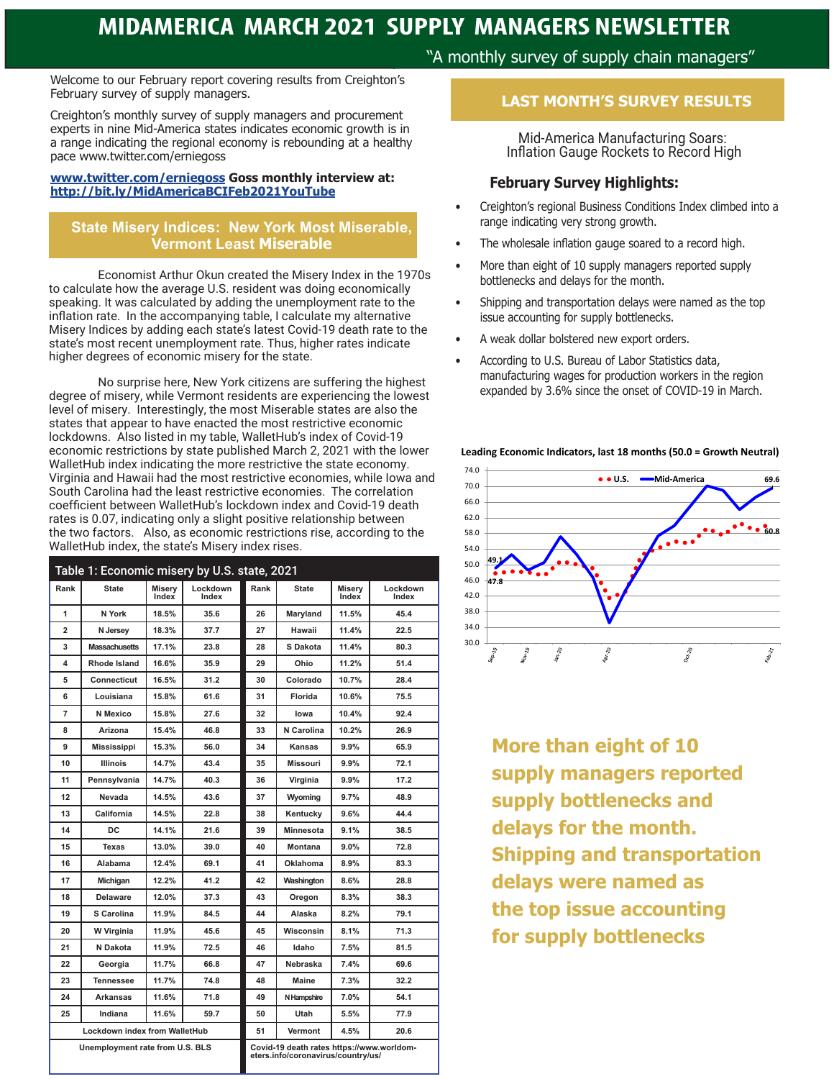Welcome to our February report covering results from Creighton's February survey of supply managers.

Creighton's monthly survey of supply managers and procurement experts in nine Mid-America states indicates economic growth is in a range indicating the regional economy is rebounding at a healthy pace www.twitter.com/erniegoss

#### **www.twitter.com/erniegoss Goss monthly interview at: http://bit.ly/MidAmericaBCIFeb2021YouTube**

#### **State Misery Indices: New York Most Miserable, Vermont Least Miserable**

Economist Arthur Okun created the Misery Index in the 1970s to calculate how the average U.S. resident was doing economically speaking. It was calculated by adding the unemployment rate to the inflation rate. In the accompanying table, I calculate my alternative Misery Indices by adding each state's latest Covid-19 death rate to the state's most recent unemployment rate. Thus, higher rates indicate higher degrees of economic misery for the state.

No surprise here, New York citizens are suffering the highest degree of misery, while Vermont residents are experiencing the lowest level of misery. Interestingly, the most Miserable states are also the states that appear to have enacted the most restrictive economic lockdowns. Also listed in my table, WalletHub's index of Covid-19 economic restrictions by state published March 2, 2021 with the lower WalletHub index indicating the more restrictive the state economy. Virginia and Hawaii had the most restrictive economies, while Iowa and South Carolina had the least restrictive economies. The correlation coefficient between WalletHub's lockdown index and Covid-19 death rates is 0.07, indicating only a slight positive relationship between the two factors. Also, as economic restrictions rise, according to the WalletHub index, the state's Misery index rises.

| Table 1: Economic misery by U.S. state, 2021 |                      |                        |                   |                                                                                 |                  |                 |                   |
|----------------------------------------------|----------------------|------------------------|-------------------|---------------------------------------------------------------------------------|------------------|-----------------|-------------------|
| Rank                                         | State                | <b>Miserv</b><br>Index | Lockdown<br>Index | Rank                                                                            | <b>State</b>     | Misery<br>Index | Lockdown<br>Index |
| 1                                            | N York               | 18.5%                  | 35.6              | 26                                                                              | Maryland         | 11.5%           | 45.4              |
| $\overline{\mathbf{2}}$                      | N Jersey             | 18.3%                  | 37.7              | 27                                                                              | Hawaii           | 11.4%           | 22.5              |
| 3                                            | <b>Massachusetts</b> | 17.1%                  | 23.8              | 28                                                                              | S Dakota         | 11.4%           | 80.3              |
| 4                                            | Rhode Island         | 16.6%                  | 35.9              | 29                                                                              | Ohio             | 11.2%           | 51.4              |
| 5                                            | <b>Connecticut</b>   | 16.5%                  | 31.2              | 30                                                                              | Colorado         | 10.7%           | 28.4              |
| 6                                            | Louisiana            | 15.8%                  | 61.6              | 31                                                                              | Florida          | 10.6%           | 75.5              |
| 7                                            | N Mexico             | 15.8%                  | 27.6              | 32                                                                              | lowa             | 10.4%           | 92.4              |
| 8                                            | Arizona              | 15.4%                  | 46.8              | 33                                                                              | N Carolina       | 10.2%           | 26.9              |
| 9                                            | <b>Mississippi</b>   | 15.3%                  | 56.0              | 34                                                                              | Kansas           | 9.9%            | 65.9              |
| 10                                           | <b>Illinois</b>      | 14.7%                  | 43.4              | 35                                                                              | <b>Missouri</b>  | 9.9%            | 72.1              |
| 11                                           | Pennsylvania         | 14.7%                  | 40.3              | 36                                                                              | Virginia         | 9.9%            | 17.2              |
| 12                                           | Nevada               | 14.5%                  | 43.6              | 37                                                                              | Wyoming          | 9.7%            | 48.9              |
| 13                                           | California           | 14.5%                  | 22.8              | 38                                                                              | Kentucky         | 9.6%            | 44.4              |
| 14                                           | DC                   | 14.1%                  | 21.6              | 39                                                                              | <b>Minnesota</b> | 9.1%            | 38.5              |
| 15                                           | Texas                | 13.0%                  | 39.0              | 40                                                                              | Montana          | 9.0%            | 72.8              |
| 16                                           | Alabama              | 12.4%                  | 69.1              | 41                                                                              | <b>Oklahoma</b>  | 8.9%            | 83.3              |
| 17                                           | <b>Michigan</b>      | 12.2%                  | 41.2              | 42                                                                              | Washington       | 8.6%            | 28.8              |
| 18                                           | Delaware             | 12.0%                  | 37.3              | 43                                                                              | Oregon           | 8.3%            | 38.3              |
| 19                                           | S Carolina           | 11.9%                  | 84.5              | 44                                                                              | Alaska           | 8.2%            | 79.1              |
| 20                                           | W Virginia           | 11.9%                  | 45.6              | 45                                                                              | Wisconsin        | 8.1%            | 71.3              |
| 21                                           | N Dakota             | 11.9%                  | 72.5              | 46                                                                              | Idaho            | 7.5%            | 81.5              |
| 22                                           | Georgia              | 11.7%                  | 66.8              | 47                                                                              | Nebraska         | 7.4%            | 69.6              |
| 23                                           | <b>Tennessee</b>     | 11.7%                  | 74.8              | 48                                                                              | Maine            | 7.3%            | 32.2              |
| 24                                           | <b>Arkansas</b>      | 11.6%                  | 71.8              | 49                                                                              | N Hampshire      | 7.0%            | 54.1              |
| 25                                           | Indiana              | 11.6%                  | 59.7              | 50                                                                              | Utah             | 5.5%            | 77.9              |
| Lockdown index from WalletHub                |                      |                        |                   | 51                                                                              | Vermont          | 4.5%            | 20.6              |
| Unemployment rate from U.S. BLS              |                      |                        |                   | Covid-19 death rates https://www.worldom-<br>eters.info/coronavirus/country/us/ |                  |                 |                   |

"A monthly survey of supply chain managers"

# **LAST MONTH'S SURVEY RESULTS**

Mid-America Manufacturing Soars:Inflation Gauge Rockets to Record High

## **February Survey Highlights:**

- Creighton's regional Business Conditions Index climbed into a range indicating very strong growth.
- The wholesale inflation gauge soared to a record high.
- More than eight of 10 supply managers reported supply bottlenecks and delays for the month.
- Shipping and transportation delays were named as the top issue accounting for supply bottlenecks.
- A weak dollar bolstered new export orders.
- According to U.S. Bureau of Labor Statistics data, manufacturing wages for production workers in the region expanded by 3.6% since the onset of COVID-19 in March.





**More than eight of 10 supply managers reported supply bottlenecks and delays for the month. Shipping and transportation delays were named as the top issue accounting for supply bottlenecks**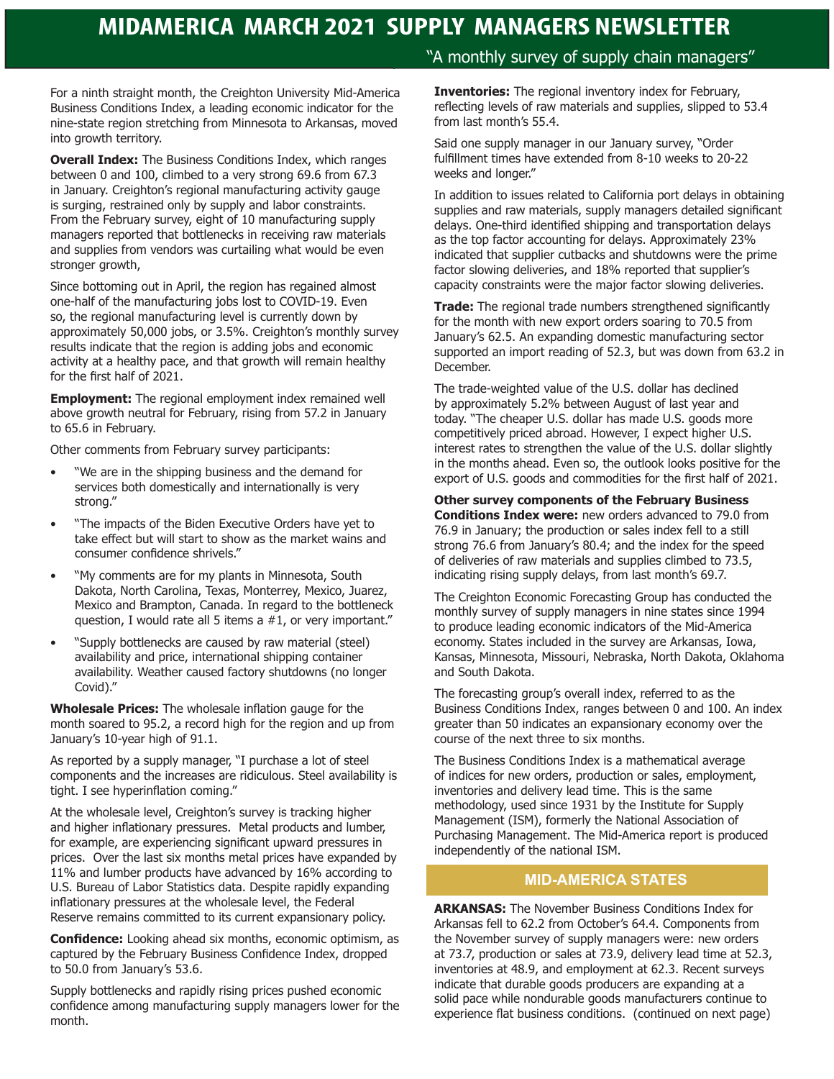For a ninth straight month, the Creighton University Mid-America Business Conditions Index, a leading economic indicator for the nine-state region stretching from Minnesota to Arkansas, moved into growth territory.

**Overall Index:** The Business Conditions Index, which ranges between 0 and 100, climbed to a very strong 69.6 from 67.3 in January. Creighton's regional manufacturing activity gauge is surging, restrained only by supply and labor constraints. From the February survey, eight of 10 manufacturing supply managers reported that bottlenecks in receiving raw materials and supplies from vendors was curtailing what would be even stronger growth,

Since bottoming out in April, the region has regained almost one-half of the manufacturing jobs lost to COVID-19. Even so, the regional manufacturing level is currently down by approximately 50,000 jobs, or 3.5%. Creighton's monthly survey results indicate that the region is adding jobs and economic activity at a healthy pace, and that growth will remain healthy for the first half of 2021.

**Employment:** The regional employment index remained well above growth neutral for February, rising from 57.2 in January to 65.6 in February.

Other comments from February survey participants:

- "We are in the shipping business and the demand for services both domestically and internationally is very strong."
- "The impacts of the Biden Executive Orders have yet to take effect but will start to show as the market wains and consumer confidence shrivels."
- "My comments are for my plants in Minnesota, South Dakota, North Carolina, Texas, Monterrey, Mexico, Juarez, Mexico and Brampton, Canada. In regard to the bottleneck question, I would rate all 5 items a #1, or very important."
- "Supply bottlenecks are caused by raw material (steel) availability and price, international shipping container availability. Weather caused factory shutdowns (no longer Covid)."

**Wholesale Prices:** The wholesale inflation gauge for the month soared to 95.2, a record high for the region and up from January's 10-year high of 91.1.

As reported by a supply manager, "I purchase a lot of steel components and the increases are ridiculous. Steel availability is tight. I see hyperinflation coming."

At the wholesale level, Creighton's survey is tracking higher and higher inflationary pressures. Metal products and lumber, for example, are experiencing significant upward pressures in prices. Over the last six months metal prices have expanded by 11% and lumber products have advanced by 16% according to U.S. Bureau of Labor Statistics data. Despite rapidly expanding inflationary pressures at the wholesale level, the Federal Reserve remains committed to its current expansionary policy.

**Confidence:** Looking ahead six months, economic optimism, as captured by the February Business Confidence Index, dropped to 50.0 from January's 53.6.

Supply bottlenecks and rapidly rising prices pushed economic confidence among manufacturing supply managers lower for the month.

#### "A monthly survey of supply chain managers"

**Inventories:** The regional inventory index for February, reflecting levels of raw materials and supplies, slipped to 53.4 from last month's 55.4.

Said one supply manager in our January survey, "Order fulfillment times have extended from 8-10 weeks to 20-22 weeks and longer."

In addition to issues related to California port delays in obtaining supplies and raw materials, supply managers detailed significant delays. One-third identified shipping and transportation delays as the top factor accounting for delays. Approximately 23% indicated that supplier cutbacks and shutdowns were the prime factor slowing deliveries, and 18% reported that supplier's capacity constraints were the major factor slowing deliveries.

**Trade:** The regional trade numbers strengthened significantly for the month with new export orders soaring to 70.5 from January's 62.5. An expanding domestic manufacturing sector supported an import reading of 52.3, but was down from 63.2 in December.

The trade-weighted value of the U.S. dollar has declined by approximately 5.2% between August of last year and today. "The cheaper U.S. dollar has made U.S. goods more competitively priced abroad. However, I expect higher U.S. interest rates to strengthen the value of the U.S. dollar slightly in the months ahead. Even so, the outlook looks positive for the export of U.S. goods and commodities for the first half of 2021.

#### **Other survey components of the February Business**

**Conditions Index were:** new orders advanced to 79.0 from 76.9 in January; the production or sales index fell to a still strong 76.6 from January's 80.4; and the index for the speed of deliveries of raw materials and supplies climbed to 73.5, indicating rising supply delays, from last month's 69.7.

The Creighton Economic Forecasting Group has conducted the monthly survey of supply managers in nine states since 1994 to produce leading economic indicators of the Mid-America economy. States included in the survey are Arkansas, Iowa, Kansas, Minnesota, Missouri, Nebraska, North Dakota, Oklahoma and South Dakota.

The forecasting group's overall index, referred to as the Business Conditions Index, ranges between 0 and 100. An index greater than 50 indicates an expansionary economy over the course of the next three to six months.

The Business Conditions Index is a mathematical average of indices for new orders, production or sales, employment, inventories and delivery lead time. This is the same methodology, used since 1931 by the Institute for Supply Management (ISM), formerly the National Association of Purchasing Management. The Mid-America report is produced independently of the national ISM.

#### **MID-AMERICA STATES**

**ARKANSAS:** The November Business Conditions Index for Arkansas fell to 62.2 from October's 64.4. Components from the November survey of supply managers were: new orders at 73.7, production or sales at 73.9, delivery lead time at 52.3, inventories at 48.9, and employment at 62.3. Recent surveys indicate that durable goods producers are expanding at a solid pace while nondurable goods manufacturers continue to experience flat business conditions. (continued on next page)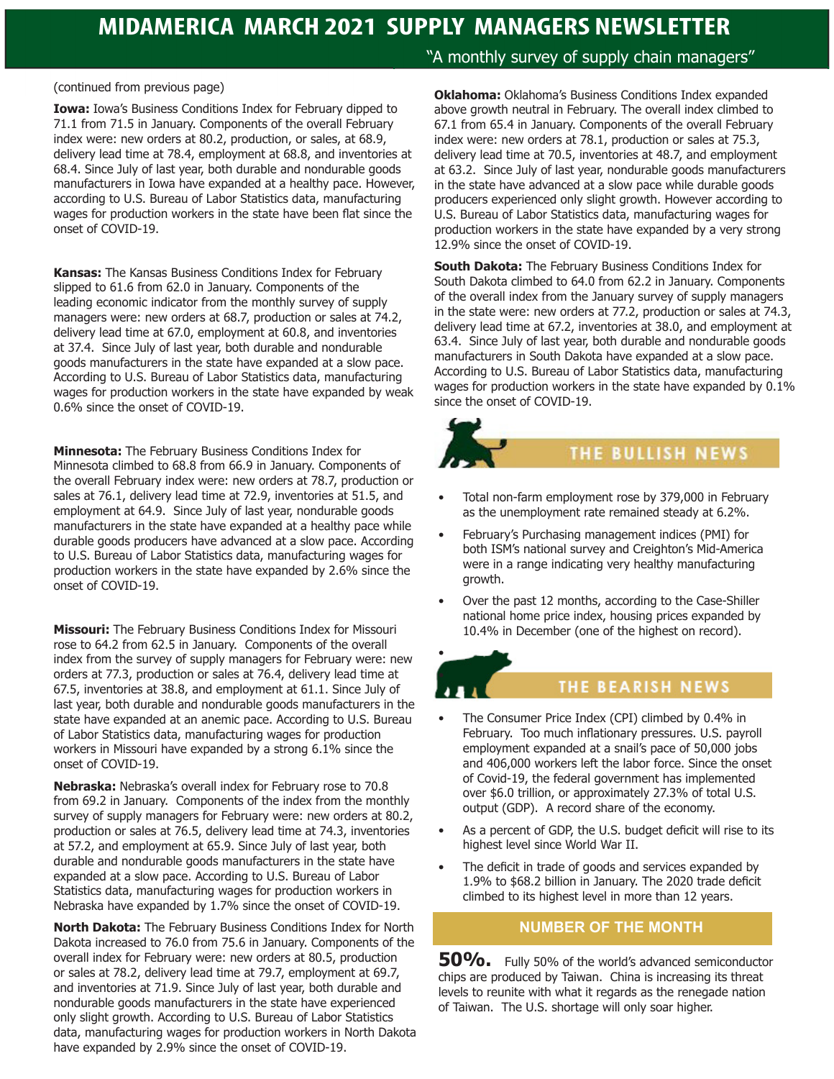(continued from previous page)

**Iowa:** Iowa's Business Conditions Index for February dipped to 71.1 from 71.5 in January. Components of the overall February index were: new orders at 80.2, production, or sales, at 68.9, delivery lead time at 78.4, employment at 68.8, and inventories at 68.4. Since July of last year, both durable and nondurable goods manufacturers in Iowa have expanded at a healthy pace. However, according to U.S. Bureau of Labor Statistics data, manufacturing wages for production workers in the state have been flat since the onset of COVID-19.

**Kansas:** The Kansas Business Conditions Index for February slipped to 61.6 from 62.0 in January. Components of the leading economic indicator from the monthly survey of supply managers were: new orders at 68.7, production or sales at 74.2, delivery lead time at 67.0, employment at 60.8, and inventories at 37.4. Since July of last year, both durable and nondurable goods manufacturers in the state have expanded at a slow pace. According to U.S. Bureau of Labor Statistics data, manufacturing wages for production workers in the state have expanded by weak 0.6% since the onset of COVID-19.

**Minnesota:** The February Business Conditions Index for Minnesota climbed to 68.8 from 66.9 in January. Components of the overall February index were: new orders at 78.7, production or sales at 76.1, delivery lead time at 72.9, inventories at 51.5, and employment at 64.9. Since July of last year, nondurable goods manufacturers in the state have expanded at a healthy pace while durable goods producers have advanced at a slow pace. According to U.S. Bureau of Labor Statistics data, manufacturing wages for production workers in the state have expanded by 2.6% since the onset of COVID-19.

**Missouri:** The February Business Conditions Index for Missouri rose to 64.2 from 62.5 in January. Components of the overall index from the survey of supply managers for February were: new orders at 77.3, production or sales at 76.4, delivery lead time at 67.5, inventories at 38.8, and employment at 61.1. Since July of last year, both durable and nondurable goods manufacturers in the state have expanded at an anemic pace. According to U.S. Bureau of Labor Statistics data, manufacturing wages for production workers in Missouri have expanded by a strong 6.1% since the onset of COVID-19.

**Nebraska:** Nebraska's overall index for February rose to 70.8 from 69.2 in January. Components of the index from the monthly survey of supply managers for February were: new orders at 80.2, production or sales at 76.5, delivery lead time at 74.3, inventories at 57.2, and employment at 65.9. Since July of last year, both durable and nondurable goods manufacturers in the state have expanded at a slow pace. According to U.S. Bureau of Labor Statistics data, manufacturing wages for production workers in Nebraska have expanded by 1.7% since the onset of COVID-19.

**North Dakota:** The February Business Conditions Index for North Dakota increased to 76.0 from 75.6 in January. Components of the overall index for February were: new orders at 80.5, production or sales at 78.2, delivery lead time at 79.7, employment at 69.7, and inventories at 71.9. Since July of last year, both durable and nondurable goods manufacturers in the state have experienced only slight growth. According to U.S. Bureau of Labor Statistics data, manufacturing wages for production workers in North Dakota have expanded by 2.9% since the onset of COVID-19.

"A monthly survey of supply chain managers"

**Oklahoma:** Oklahoma's Business Conditions Index expanded above growth neutral in February. The overall index climbed to 67.1 from 65.4 in January. Components of the overall February index were: new orders at 78.1, production or sales at 75.3, delivery lead time at 70.5, inventories at 48.7, and employment at 63.2. Since July of last year, nondurable goods manufacturers in the state have advanced at a slow pace while durable goods producers experienced only slight growth. However according to U.S. Bureau of Labor Statistics data, manufacturing wages for production workers in the state have expanded by a very strong 12.9% since the onset of COVID-19.

**South Dakota:** The February Business Conditions Index for South Dakota climbed to 64.0 from 62.2 in January. Components of the overall index from the January survey of supply managers in the state were: new orders at 77.2, production or sales at 74.3, delivery lead time at 67.2, inventories at 38.0, and employment at 63.4. Since July of last year, both durable and nondurable goods manufacturers in South Dakota have expanded at a slow pace. According to U.S. Bureau of Labor Statistics data, manufacturing wages for production workers in the state have expanded by 0.1% since the onset of COVID-19.

# THE BULLISH NEWS

- Total non-farm employment rose by 379,000 in February as the unemployment rate remained steady at 6.2%.
- February's Purchasing management indices (PMI) for both ISM's national survey and Creighton's Mid-America were in a range indicating very healthy manufacturing growth.
- Over the past 12 months, according to the Case-Shiller national home price index, housing prices expanded by 10.4% in December (one of the highest on record).



•

## THE BEARISH NEWS

- The Consumer Price Index (CPI) climbed by 0.4% in February. Too much inflationary pressures. U.S. payroll employment expanded at a snail's pace of 50,000 jobs and 406,000 workers left the labor force. Since the onset of Covid-19, the federal government has implemented over \$6.0 trillion, or approximately 27.3% of total U.S. output (GDP). A record share of the economy.
- As a percent of GDP, the U.S. budget deficit will rise to its highest level since World War II.
- The deficit in trade of goods and services expanded by 1.9% to \$68.2 billion in January. The 2020 trade deficit climbed to its highest level in more than 12 years.

## **NUMBER OF THE MONTH**

**50%.** Fully 50% of the world's advanced semiconductor chips are produced by Taiwan. China is increasing its threat levels to reunite with what it regards as the renegade nation of Taiwan. The U.S. shortage will only soar higher.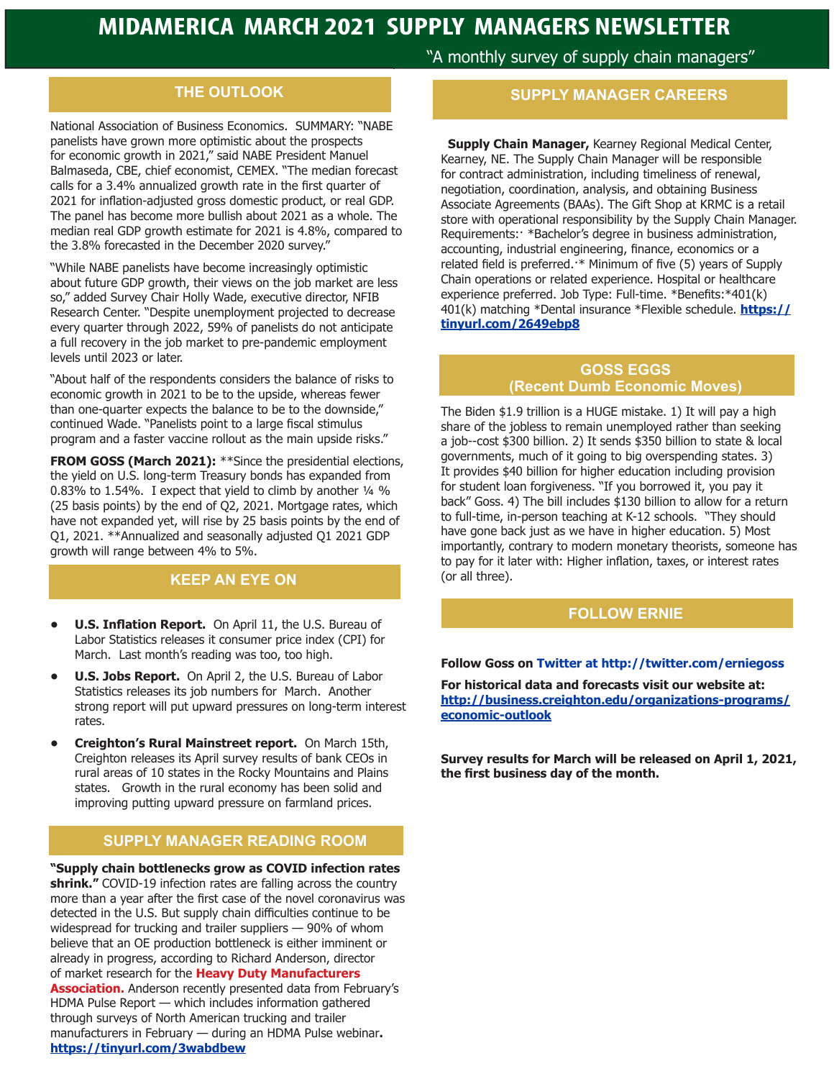## **THE OUTLOOK**

National Association of Business Economics. SUMMARY: "NABE panelists have grown more optimistic about the prospects for economic growth in 2021," said NABE President Manuel Balmaseda, CBE, chief economist, CEMEX. "The median forecast calls for a 3.4% annualized growth rate in the first quarter of 2021 for inflation-adjusted gross domestic product, or real GDP. The panel has become more bullish about 2021 as a whole. The median real GDP growth estimate for 2021 is 4.8%, compared to the 3.8% forecasted in the December 2020 survey."

"While NABE panelists have become increasingly optimistic about future GDP growth, their views on the job market are less so," added Survey Chair Holly Wade, executive director, NFIB Research Center. "Despite unemployment projected to decrease every quarter through 2022, 59% of panelists do not anticipate a full recovery in the job market to pre-pandemic employment levels until 2023 or later.

"About half of the respondents considers the balance of risks to economic growth in 2021 to be to the upside, whereas fewer than one-quarter expects the balance to be to the downside," continued Wade. "Panelists point to a large fiscal stimulus program and a faster vaccine rollout as the main upside risks."

**FROM GOSS (March 2021):** \*\*Since the presidential elections, the yield on U.S. long-term Treasury bonds has expanded from 0.83% to 1.54%. I expect that yield to climb by another ¼ % (25 basis points) by the end of Q2, 2021. Mortgage rates, which have not expanded yet, will rise by 25 basis points by the end of Q1, 2021. \*\*Annualized and seasonally adjusted Q1 2021 GDP growth will range between 4% to 5%.

## **KEEP AN EYE ON**

- **• U.S. Inflation Report.** On April 11, the U.S. Bureau of Labor Statistics releases it consumer price index (CPI) for March. Last month's reading was too, too high.
- **• U.S. Jobs Report.** On April 2, the U.S. Bureau of Labor Statistics releases its job numbers for March. Another strong report will put upward pressures on long-term interest rates.
- **• Creighton's Rural Mainstreet report.** On March 15th, Creighton releases its April survey results of bank CEOs in rural areas of 10 states in the Rocky Mountains and Plains states. Growth in the rural economy has been solid and improving putting upward pressure on farmland prices.

## **SUPPLY MANAGER READING ROOM**

**"Supply chain bottlenecks grow as COVID infection rates shrink."** COVID-19 infection rates are falling across the country more than a year after the first case of the novel coronavirus was detected in the U.S. But supply chain difficulties continue to be widespread for trucking and trailer suppliers — 90% of whom believe that an OE production bottleneck is either imminent or already in progress, according to Richard Anderson, director of market research for the **Heavy Duty Manufacturers Association.** Anderson recently presented data from February's

HDMA Pulse Report — which includes information gathered through surveys of North American trucking and trailer manufacturers in February — during an HDMA Pulse webinar**. https://tinyurl.com/3wabdbew**

"A monthly survey of supply chain managers"

#### **SUPPLY MANAGER CAREERS**

 **Supply Chain Manager,** Kearney Regional Medical Center, Kearney, NE. The Supply Chain Manager will be responsible for contract administration, including timeliness of renewal, negotiation, coordination, analysis, and obtaining Business Associate Agreements (BAAs). The Gift Shop at KRMC is a retail store with operational responsibility by the Supply Chain Manager. Requirements:· \*Bachelor's degree in business administration, accounting, industrial engineering, finance, economics or a related field is preferred.·\* Minimum of five (5) years of Supply Chain operations or related experience. Hospital or healthcare experience preferred. Job Type: Full-time. \*Benefits:\*401(k) 401(k) matching \*Dental insurance \*Flexible schedule. **https:// tinyurl.com/2649ebp8**

#### **GOSS EGGS (Recent Dumb Economic Moves)**

The Biden \$1.9 trillion is a HUGE mistake. 1) It will pay a high share of the jobless to remain unemployed rather than seeking a job--cost \$300 billion. 2) It sends \$350 billion to state & local governments, much of it going to big overspending states. 3) It provides \$40 billion for higher education including provision for student loan forgiveness. "If you borrowed it, you pay it back" Goss. 4) The bill includes \$130 billion to allow for a return to full-time, in-person teaching at K-12 schools. "They should have gone back just as we have in higher education. 5) Most importantly, contrary to modern monetary theorists, someone has to pay for it later with: Higher inflation, taxes, or interest rates (or all three).

#### **FOLLOW ERNIE**

#### **Follow Goss on Twitter at http://twitter.com/erniegoss**

**For historical data and forecasts visit our website at: http://business.creighton.edu/organizations-programs/ economic-outlook**

**Survey results for March will be released on April 1, 2021, the first business day of the month.**